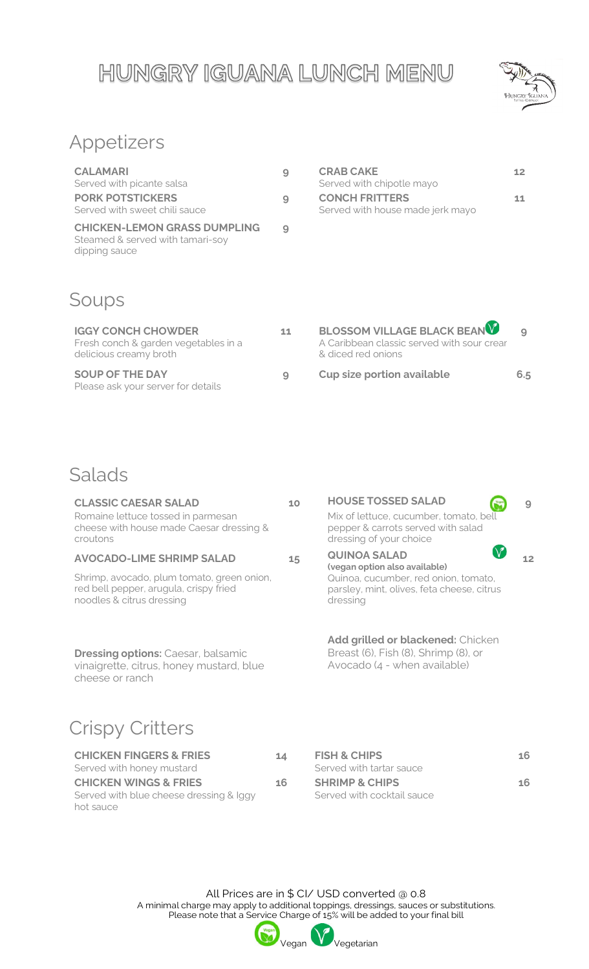## HUNGRY IGUANA LUNCH MENU



## Appetizers

| <b>CALAMARI</b><br>Served with picante salsa<br><b>PORK POTSTICKERS</b>                  | 9 | <b>CRAB CAKE</b><br>Served with chipotle mayo<br><b>CONCH FRITTERS</b> | 12 |
|------------------------------------------------------------------------------------------|---|------------------------------------------------------------------------|----|
| Served with sweet chili sauce                                                            | 9 | Served with house made jerk mayo                                       | 11 |
| <b>CHICKEN-LEMON GRASS DUMPLING</b><br>Steamed & served with tamari-soy<br>dipping sauce | 9 |                                                                        |    |

#### Soups

| <b>IGGY CONCH CHOWDER</b><br>Fresh conch & garden vegetables in a<br>delicious creamy broth | 11       | BLOSSOM VILLAGE BLACK BEAN<br>A Caribbean classic served with sour crear<br>& diced red onions |     |
|---------------------------------------------------------------------------------------------|----------|------------------------------------------------------------------------------------------------|-----|
| <b>SOUP OF THE DAY</b><br>Please ask your server for details                                | <b>Q</b> | <b>Cup size portion available</b>                                                              | 6.5 |

#### Salads

| <b>CLASSIC CAESAR SALAD</b><br>Romaine lettuce tossed in parmesan<br>cheese with house made Caesar dressing &<br>croutons | 10 | <b>HOUSE TOSSED SALAD</b><br>Mix of lettuce, cucumber, tomato, bell<br>pepper & carrots served with salad<br>dressing of your choice | 9  |
|---------------------------------------------------------------------------------------------------------------------------|----|--------------------------------------------------------------------------------------------------------------------------------------|----|
| <b>AVOCADO-LIME SHRIMP SALAD</b><br>Shrimp, avocado, plum tomato, green onion,                                            | 15 | <b>QUINOA SALAD</b><br>(vegan option also available)<br>Quinoa, cucumber, red onion, tomato,                                         | 12 |
| red bell pepper, arugula, crispy fried<br>noodles & citrus dressing                                                       |    | parsley, mint, olives, feta cheese, citrus<br>dressing                                                                               |    |
| <b>Dressing options: Caesar, balsamic</b><br>vinaigrette, citrus, honey mustard, blue<br>cheese or ranch                  |    | Add grilled or blackened: Chicken<br>Breast (6), Fish (8), Shrimp (8), or<br>Avocado (4 - when available)                            |    |
| <b>Crispy Critters</b>                                                                                                    |    |                                                                                                                                      |    |
| <b>CHICKEN FINGERS &amp; FRIES</b><br>Served with honey mustard                                                           | 14 | <b>FISH &amp; CHIPS</b><br>Served with tartar sauce                                                                                  | 16 |

| <b>CHICKEN WINGS &amp; FRIES</b>        | 16 | <b>SHRIMP &amp; CHIPS</b>  | 16 |
|-----------------------------------------|----|----------------------------|----|
| Served with blue cheese dressing & lggy |    | Served with cocktail sauce |    |
| hot sauce                               |    |                            |    |

All Prices are in \$ CI/ USD converted @ 0.8 A minimal charge may apply to additional toppings, dressings, sauces or substitutions. Please note that a Service Charge of 15% will be added to your final bill